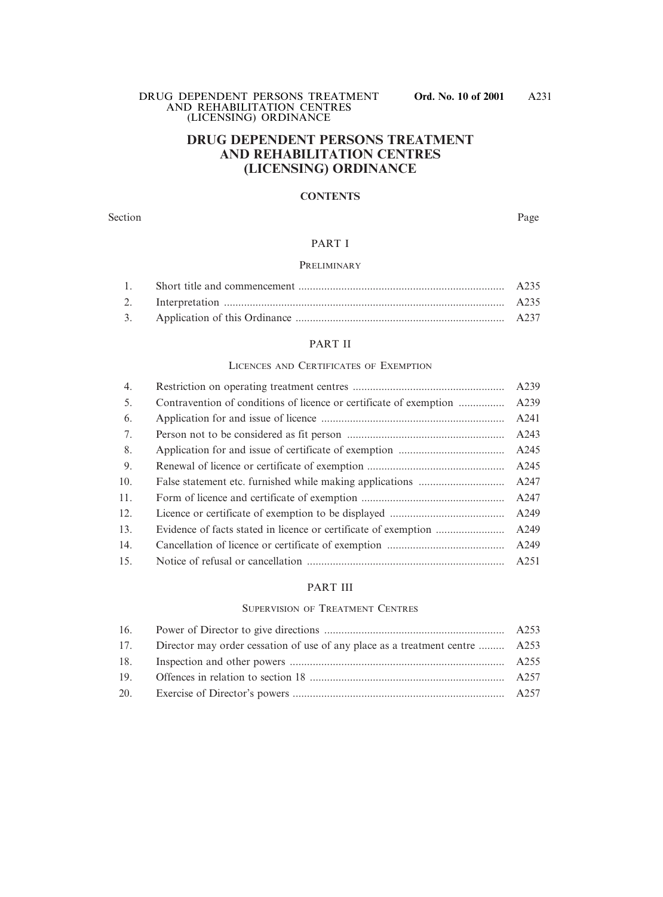### **DRUG DEPENDENT PERSONS TREATMENT AND REHABILITATION CENTRES (LICENSING) ORDINANCE**

### **CONTENTS**

#### Section Page

### PART I

### PRELIMINARY

### PART II

#### LICENCES AND CERTIFICATES OF EXEMPTION

| 4.  |                                                                    | A239 |
|-----|--------------------------------------------------------------------|------|
| 5.  | Contravention of conditions of licence or certificate of exemption | A239 |
| 6.  |                                                                    | A241 |
| 7.  |                                                                    | A243 |
| 8.  |                                                                    | A245 |
| 9.  |                                                                    | A245 |
| 10. |                                                                    | A247 |
| 11. |                                                                    | A247 |
| 12. |                                                                    | A249 |
| 13. |                                                                    | A249 |
| 14. |                                                                    | A249 |
| 15. |                                                                    | A251 |

### PART III

### SUPERVISION OF TREATMENT CENTRES

| 17. Director may order cessation of use of any place as a treatment centre  A253 |  |
|----------------------------------------------------------------------------------|--|
|                                                                                  |  |
|                                                                                  |  |
|                                                                                  |  |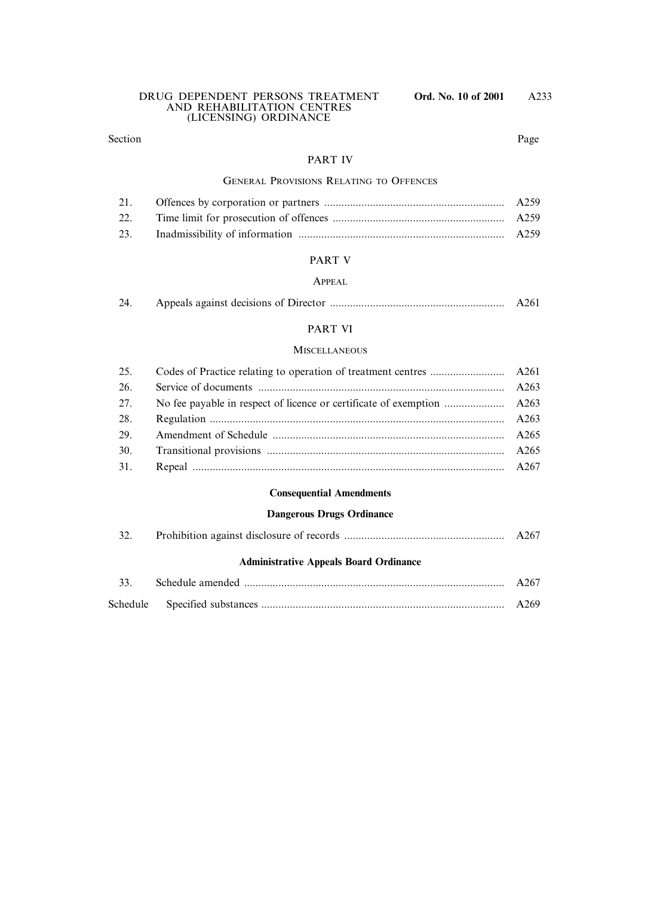### Section Page

### PART IV

### GENERAL PROVISIONS RELATING TO OFFENCES

### PART V

### APPEAL

| 24. |  | A261 |
|-----|--|------|
|-----|--|------|

### PART VI

### **MISCELLANEOUS**

### **Consequential Amendments**

### **Dangerous Drugs Ordinance**

|  |  |  | A267 |
|--|--|--|------|
|  |  |  |      |

### **Administrative Appeals Board Ordinance**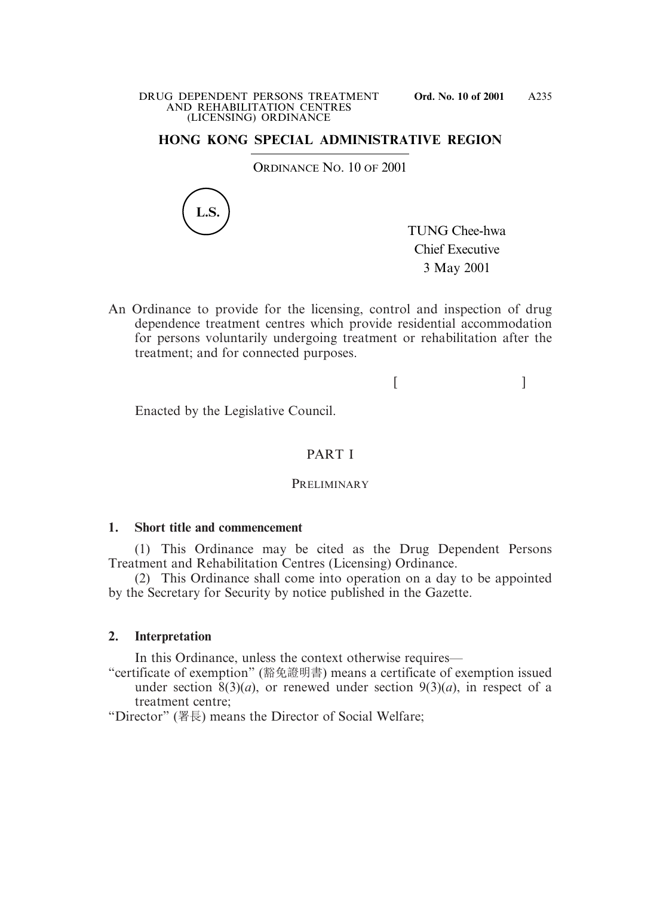### **HONG KONG SPECIAL ADMINISTRATIVE REGION**

ORDINANCE NO. 10 OF 2001



TUNG Chee-hwa Chief Executive 3 May 2001

An Ordinance to provide for the licensing, control and inspection of drug dependence treatment centres which provide residential accommodation for persons voluntarily undergoing treatment or rehabilitation after the treatment; and for connected purposes.

 $[$   $]$ 

Enacted by the Legislative Council.

### PART I

### **PRELIMINARY**

### **1. Short title and commencement**

(1) This Ordinance may be cited as the Drug Dependent Persons Treatment and Rehabilitation Centres (Licensing) Ordinance.

(2) This Ordinance shall come into operation on a day to be appointed by the Secretary for Security by notice published in the Gazette.

### **2. Interpretation**

In this Ordinance, unless the context otherwise requires—

"certificate of exemption" (豁免證明書) means a certificate of exemption issued under section  $\frac{8(3)}{a}$ , or renewed under section  $9(3)(a)$ , in respect of a treatment centre;

"Director" (署長) means the Director of Social Welfare;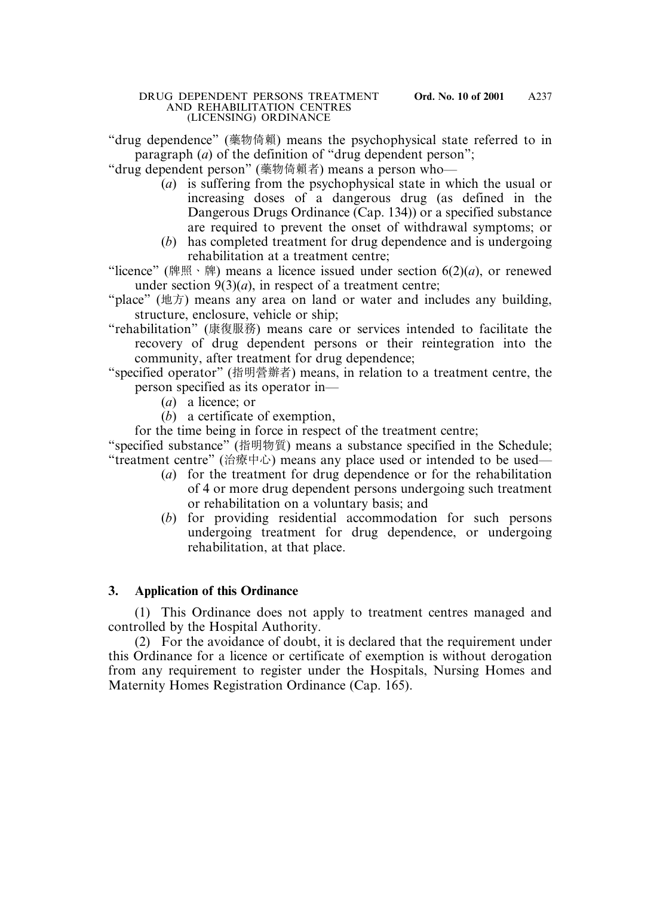"drug dependence" (藥物倚賴) means the psychophysical state referred to in paragraph (*a*) of the definition of "drug dependent person";

"drug dependent person" (藥物倚賴者) means a person who—

- (*a*) is suffering from the psychophysical state in which the usual or increasing doses of a dangerous drug (as defined in the Dangerous Drugs Ordinance (Cap. 134)) or a specified substance are required to prevent the onset of withdrawal symptoms; or
- (*b*) has completed treatment for drug dependence and is undergoing rehabilitation at a treatment centre;

"licence" (牌照、牌) means a licence issued under section  $6(2)(a)$ , or renewed under section  $9(3)(a)$ , in respect of a treatment centre;

- "place" (地方) means any area on land or water and includes any building, structure, enclosure, vehicle or ship;
- "rehabilitation" (康復服務) means care or services intended to facilitate the recovery of drug dependent persons or their reintegration into the community, after treatment for drug dependence;
- "specified operator" (指明營辦者) means, in relation to a treatment centre, the person specified as its operator in—
	- (*a*) a licence; or
	- (*b*) a certificate of exemption,

for the time being in force in respect of the treatment centre;

"specified substance" (指明物質) means a substance specified in the Schedule; "treatment centre" (治療中心) means any place used or intended to be used—

- (*a*) for the treatment for drug dependence or for the rehabilitation of 4 or more drug dependent persons undergoing such treatment or rehabilitation on a voluntary basis; and
- (*b*) for providing residential accommodation for such persons undergoing treatment for drug dependence, or undergoing rehabilitation, at that place.

# **3. Application of this Ordinance**

(1) This Ordinance does not apply to treatment centres managed and controlled by the Hospital Authority.

(2) For the avoidance of doubt, it is declared that the requirement under this Ordinance for a licence or certificate of exemption is without derogation from any requirement to register under the Hospitals, Nursing Homes and Maternity Homes Registration Ordinance (Cap. 165).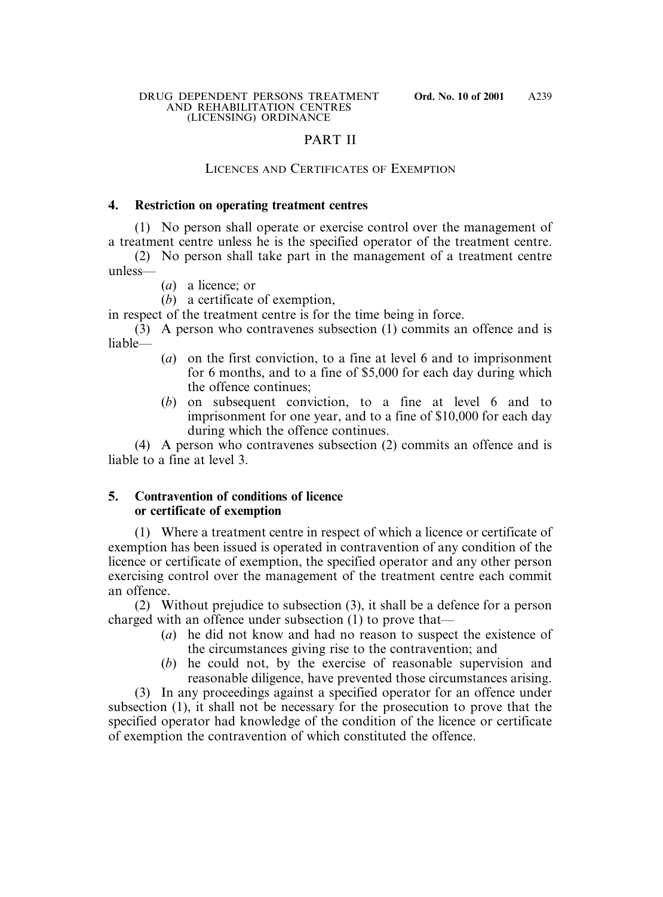### PART II

### LICENCES AND CERTIFICATES OF EXEMPTION

### **4. Restriction on operating treatment centres**

(1) No person shall operate or exercise control over the management of a treatment centre unless he is the specified operator of the treatment centre.

(2) No person shall take part in the management of a treatment centre unless—

(*a*) a licence; or

(*b*) a certificate of exemption,

in respect of the treatment centre is for the time being in force.

(3) A person who contravenes subsection (1) commits an offence and is liable—

- (*a*) on the first conviction, to a fine at level 6 and to imprisonment for 6 months, and to a fine of \$5,000 for each day during which the offence continues;
- (*b*) on subsequent conviction, to a fine at level 6 and to imprisonment for one year, and to a fine of \$10,000 for each day during which the offence continues.

(4) A person who contravenes subsection (2) commits an offence and is liable to a fine at level 3.

# **5. Contravention of conditions of licence or certificate of exemption**

(1) Where a treatment centre in respect of which a licence or certificate of exemption has been issued is operated in contravention of any condition of the licence or certificate of exemption, the specified operator and any other person exercising control over the management of the treatment centre each commit an offence.

(2) Without prejudice to subsection (3), it shall be a defence for a person charged with an offence under subsection (1) to prove that—

- (*a*) he did not know and had no reason to suspect the existence of the circumstances giving rise to the contravention; and
- (*b*) he could not, by the exercise of reasonable supervision and reasonable diligence, have prevented those circumstances arising.

(3) In any proceedings against a specified operator for an offence under subsection (1), it shall not be necessary for the prosecution to prove that the specified operator had knowledge of the condition of the licence or certificate of exemption the contravention of which constituted the offence.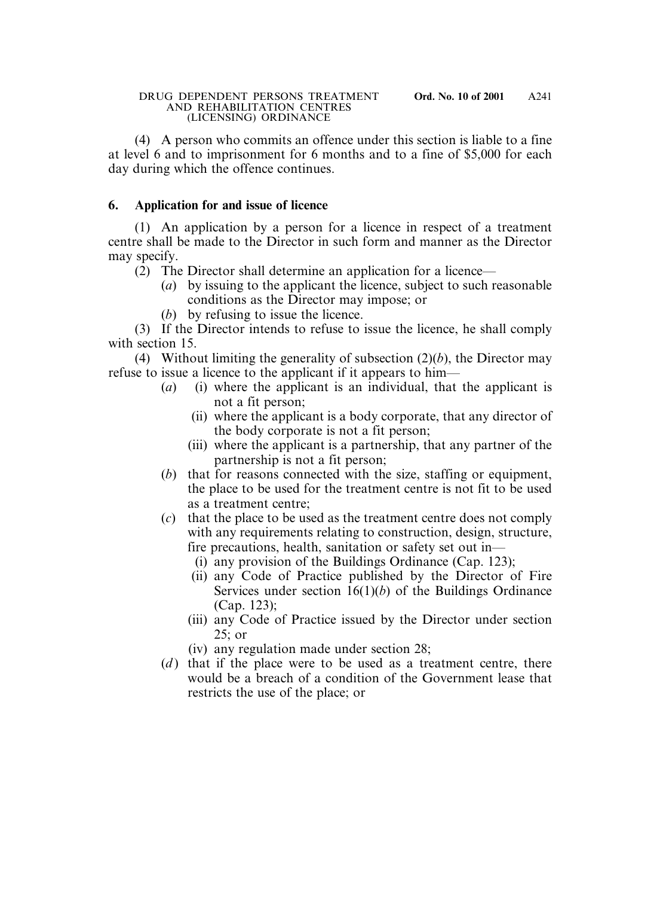(4) A person who commits an offence under this section is liable to a fine at level 6 and to imprisonment for 6 months and to a fine of \$5,000 for each day during which the offence continues.

# **6. Application for and issue of licence**

(1) An application by a person for a licence in respect of a treatment centre shall be made to the Director in such form and manner as the Director may specify.

- (2) The Director shall determine an application for a licence—
	- (*a*) by issuing to the applicant the licence, subject to such reasonable conditions as the Director may impose; or
	- (*b*) by refusing to issue the licence.

(3) If the Director intends to refuse to issue the licence, he shall comply with section 15.

(4) Without limiting the generality of subsection (2)(*b*), the Director may refuse to issue a licence to the applicant if it appears to him—

- (*a*) (i) where the applicant is an individual, that the applicant is not a fit person;
	- (ii) where the applicant is a body corporate, that any director of the body corporate is not a fit person;
	- (iii) where the applicant is a partnership, that any partner of the partnership is not a fit person;
- (*b*) that for reasons connected with the size, staffing or equipment, the place to be used for the treatment centre is not fit to be used as a treatment centre;
- (*c*) that the place to be used as the treatment centre does not comply with any requirements relating to construction, design, structure, fire precautions, health, sanitation or safety set out in—
	- (i) any provision of the Buildings Ordinance (Cap. 123);
	- (ii) any Code of Practice published by the Director of Fire Services under section 16(1)(*b*) of the Buildings Ordinance (Cap. 123);
	- (iii) any Code of Practice issued by the Director under section 25; or
	- (iv) any regulation made under section 28;
- (*d*) that if the place were to be used as a treatment centre, there would be a breach of a condition of the Government lease that restricts the use of the place; or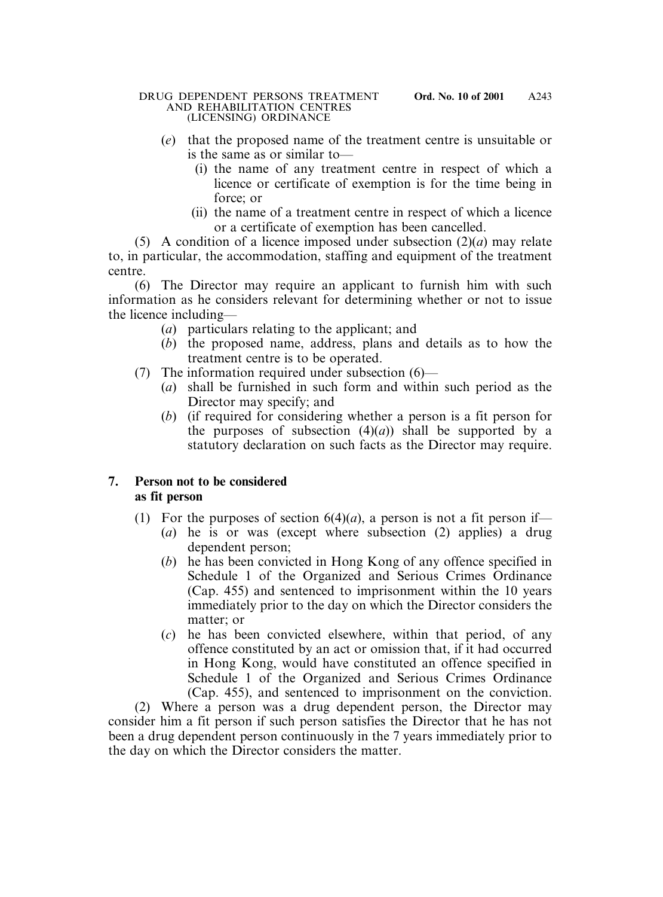- (*e*) that the proposed name of the treatment centre is unsuitable or is the same as or similar to—
	- (i) the name of any treatment centre in respect of which a licence or certificate of exemption is for the time being in force; or
	- (ii) the name of a treatment centre in respect of which a licence or a certificate of exemption has been cancelled.

(5) A condition of a licence imposed under subsection (2)(*a*) may relate to, in particular, the accommodation, staffing and equipment of the treatment centre.

(6) The Director may require an applicant to furnish him with such information as he considers relevant for determining whether or not to issue the licence including—

- (*a*) particulars relating to the applicant; and
- (*b*) the proposed name, address, plans and details as to how the treatment centre is to be operated.
- (7) The information required under subsection (6)—
	- (*a*) shall be furnished in such form and within such period as the Director may specify; and
	- (*b*) (if required for considering whether a person is a fit person for the purposes of subsection  $(4)(a)$  shall be supported by a statutory declaration on such facts as the Director may require.

# **7. Person not to be considered as fit person**

- (1) For the purposes of section  $6(4)(a)$ , a person is not a fit person if—
	- (*a*) he is or was (except where subsection (2) applies) a drug dependent person;
	- (*b*) he has been convicted in Hong Kong of any offence specified in Schedule 1 of the Organized and Serious Crimes Ordinance (Cap. 455) and sentenced to imprisonment within the 10 years immediately prior to the day on which the Director considers the matter; or
	- (*c*) he has been convicted elsewhere, within that period, of any offence constituted by an act or omission that, if it had occurred in Hong Kong, would have constituted an offence specified in Schedule 1 of the Organized and Serious Crimes Ordinance (Cap. 455), and sentenced to imprisonment on the conviction.

(2) Where a person was a drug dependent person, the Director may consider him a fit person if such person satisfies the Director that he has not been a drug dependent person continuously in the 7 years immediately prior to the day on which the Director considers the matter.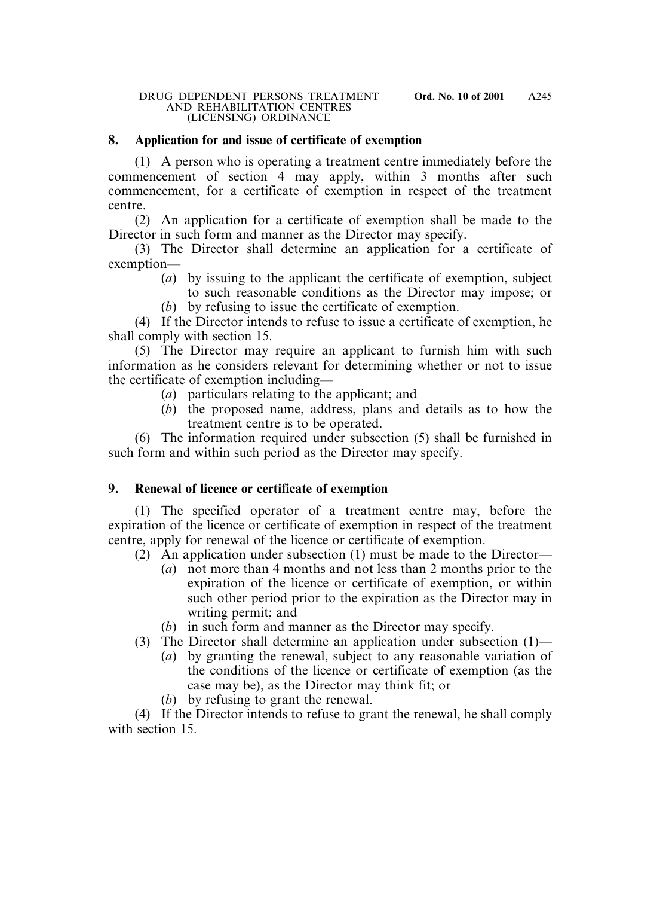### **8. Application for and issue of certificate of exemption**

(1) A person who is operating a treatment centre immediately before the commencement of section 4 may apply, within 3 months after such commencement, for a certificate of exemption in respect of the treatment centre.

(2) An application for a certificate of exemption shall be made to the Director in such form and manner as the Director may specify.

(3) The Director shall determine an application for a certificate of exemption—

- (*a*) by issuing to the applicant the certificate of exemption, subject to such reasonable conditions as the Director may impose; or
- (*b*) by refusing to issue the certificate of exemption.

(4) If the Director intends to refuse to issue a certificate of exemption, he shall comply with section 15.

(5) The Director may require an applicant to furnish him with such information as he considers relevant for determining whether or not to issue the certificate of exemption including—

- (*a*) particulars relating to the applicant; and
- (*b*) the proposed name, address, plans and details as to how the treatment centre is to be operated.

(6) The information required under subsection (5) shall be furnished in such form and within such period as the Director may specify.

# **9. Renewal of licence or certificate of exemption**

(1) The specified operator of a treatment centre may, before the expiration of the licence or certificate of exemption in respect of the treatment centre, apply for renewal of the licence or certificate of exemption.

- (2) An application under subsection (1) must be made to the Director—
	- (*a*) not more than 4 months and not less than 2 months prior to the expiration of the licence or certificate of exemption, or within such other period prior to the expiration as the Director may in writing permit; and
	- (*b*) in such form and manner as the Director may specify.
- (3) The Director shall determine an application under subsection (1)—
	- (*a*) by granting the renewal, subject to any reasonable variation of the conditions of the licence or certificate of exemption (as the case may be), as the Director may think fit; or
	- (*b*) by refusing to grant the renewal.

(4) If the Director intends to refuse to grant the renewal, he shall comply with section 15.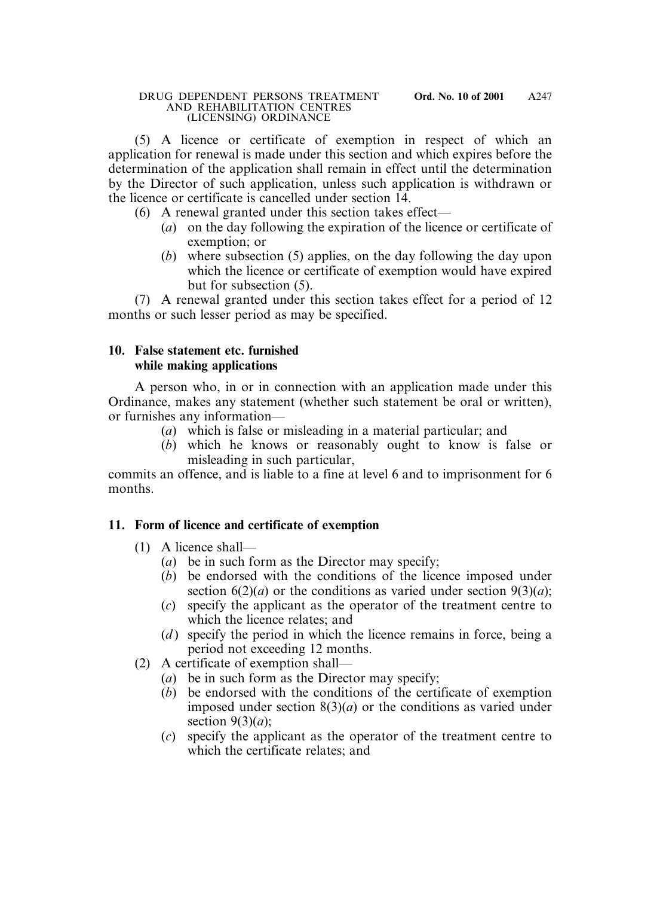(5) A licence or certificate of exemption in respect of which an application for renewal is made under this section and which expires before the determination of the application shall remain in effect until the determination by the Director of such application, unless such application is withdrawn or the licence or certificate is cancelled under section 14.

(6) A renewal granted under this section takes effect—

- (*a*) on the day following the expiration of the licence or certificate of exemption; or
- (*b*) where subsection (5) applies, on the day following the day upon which the licence or certificate of exemption would have expired but for subsection (5).

(7) A renewal granted under this section takes effect for a period of 12 months or such lesser period as may be specified.

# **10. False statement etc. furnished while making applications**

A person who, in or in connection with an application made under this Ordinance, makes any statement (whether such statement be oral or written), or furnishes any information—

- (*a*) which is false or misleading in a material particular; and
- (*b*) which he knows or reasonably ought to know is false or misleading in such particular,

commits an offence, and is liable to a fine at level 6 and to imprisonment for 6 months.

# **11. Form of licence and certificate of exemption**

- (1) A licence shall—
	- (*a*) be in such form as the Director may specify;
	- (*b*) be endorsed with the conditions of the licence imposed under section  $6(2)(a)$  or the conditions as varied under section  $9(3)(a)$ ;
	- (*c*) specify the applicant as the operator of the treatment centre to which the licence relates; and
	- (*d*) specify the period in which the licence remains in force, being a period not exceeding 12 months.
- (2) A certificate of exemption shall—
	- (*a*) be in such form as the Director may specify;
	- (*b*) be endorsed with the conditions of the certificate of exemption imposed under section 8(3)(*a*) or the conditions as varied under section 9(3)(*a*);
	- (*c*) specify the applicant as the operator of the treatment centre to which the certificate relates; and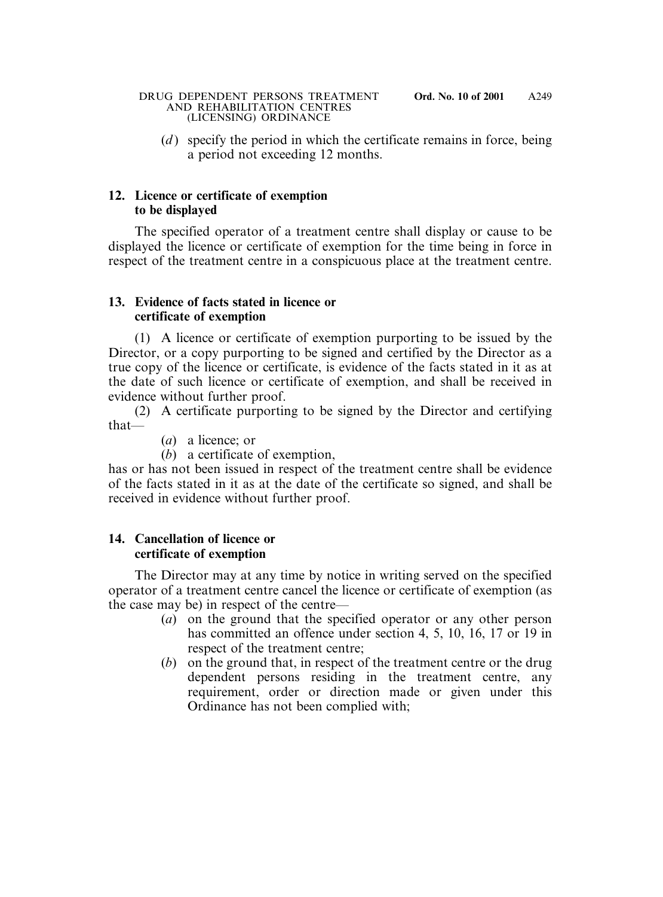(*d*) specify the period in which the certificate remains in force, being a period not exceeding 12 months.

# **12. Licence or certificate of exemption to be displayed**

The specified operator of a treatment centre shall display or cause to be displayed the licence or certificate of exemption for the time being in force in respect of the treatment centre in a conspicuous place at the treatment centre.

### **13. Evidence of facts stated in licence or certificate of exemption**

(1) A licence or certificate of exemption purporting to be issued by the Director, or a copy purporting to be signed and certified by the Director as a true copy of the licence or certificate, is evidence of the facts stated in it as at the date of such licence or certificate of exemption, and shall be received in evidence without further proof.

(2) A certificate purporting to be signed by the Director and certifying that—

(*a*) a licence; or

(*b*) a certificate of exemption,

has or has not been issued in respect of the treatment centre shall be evidence of the facts stated in it as at the date of the certificate so signed, and shall be received in evidence without further proof.

# **14. Cancellation of licence or certificate of exemption**

The Director may at any time by notice in writing served on the specified operator of a treatment centre cancel the licence or certificate of exemption (as the case may be) in respect of the centre—

- (*a*) on the ground that the specified operator or any other person has committed an offence under section 4, 5, 10, 16, 17 or 19 in respect of the treatment centre;
- (*b*) on the ground that, in respect of the treatment centre or the drug dependent persons residing in the treatment centre, any requirement, order or direction made or given under this Ordinance has not been complied with;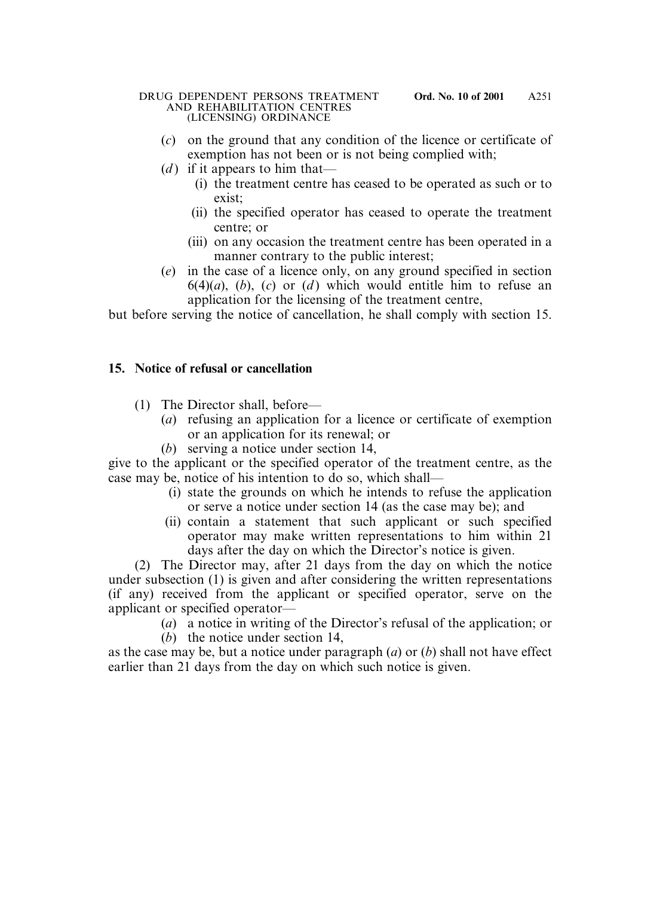- (*c*) on the ground that any condition of the licence or certificate of exemption has not been or is not being complied with;
- (*d*) if it appears to him that—
	- (i) the treatment centre has ceased to be operated as such or to exist;
	- (ii) the specified operator has ceased to operate the treatment centre; or
	- (iii) on any occasion the treatment centre has been operated in a manner contrary to the public interest;
- (*e*) in the case of a licence only, on any ground specified in section  $6(4)(a)$ ,  $(b)$ ,  $(c)$  or  $(d)$  which would entitle him to refuse an application for the licensing of the treatment centre,

but before serving the notice of cancellation, he shall comply with section 15.

# **15. Notice of refusal or cancellation**

- (1) The Director shall, before—
	- (*a*) refusing an application for a licence or certificate of exemption or an application for its renewal; or
	- (*b*) serving a notice under section 14,

give to the applicant or the specified operator of the treatment centre, as the case may be, notice of his intention to do so, which shall—

- (i) state the grounds on which he intends to refuse the application or serve a notice under section 14 (as the case may be); and
- (ii) contain a statement that such applicant or such specified operator may make written representations to him within 21 days after the day on which the Director's notice is given.

(2) The Director may, after 21 days from the day on which the notice under subsection (1) is given and after considering the written representations (if any) received from the applicant or specified operator, serve on the applicant or specified operator—

- (*a*) a notice in writing of the Director's refusal of the application; or
- (*b*) the notice under section 14,

as the case may be, but a notice under paragraph (*a*) or (*b*) shall not have effect earlier than 21 days from the day on which such notice is given.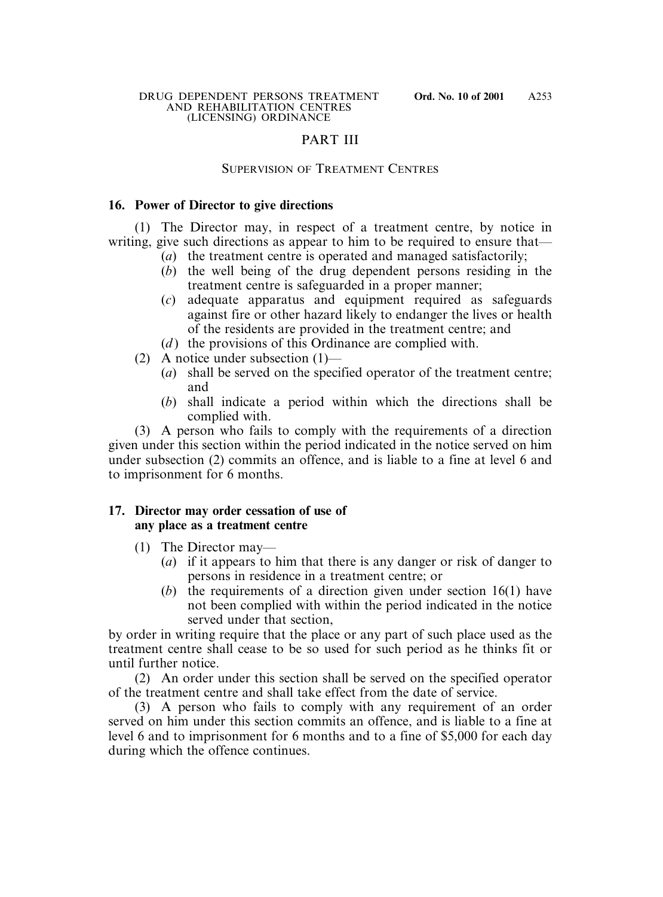# PART III

### SUPERVISION OF TREATMENT CENTRES

### **16. Power of Director to give directions**

(1) The Director may, in respect of a treatment centre, by notice in writing, give such directions as appear to him to be required to ensure that—

- (*a*) the treatment centre is operated and managed satisfactorily;
- (*b*) the well being of the drug dependent persons residing in the treatment centre is safeguarded in a proper manner;
- (*c*) adequate apparatus and equipment required as safeguards against fire or other hazard likely to endanger the lives or health of the residents are provided in the treatment centre; and
- (*d*) the provisions of this Ordinance are complied with.
- (2) A notice under subsection (1)—
	- (*a*) shall be served on the specified operator of the treatment centre; and
	- (*b*) shall indicate a period within which the directions shall be complied with.

(3) A person who fails to comply with the requirements of a direction given under this section within the period indicated in the notice served on him under subsection (2) commits an offence, and is liable to a fine at level 6 and to imprisonment for 6 months.

### **17. Director may order cessation of use of any place as a treatment centre**

- (1) The Director may—
	- (*a*) if it appears to him that there is any danger or risk of danger to persons in residence in a treatment centre; or
	- (*b*) the requirements of a direction given under section 16(1) have not been complied with within the period indicated in the notice served under that section,

by order in writing require that the place or any part of such place used as the treatment centre shall cease to be so used for such period as he thinks fit or until further notice.

(2) An order under this section shall be served on the specified operator of the treatment centre and shall take effect from the date of service.

(3) A person who fails to comply with any requirement of an order served on him under this section commits an offence, and is liable to a fine at level 6 and to imprisonment for 6 months and to a fine of \$5,000 for each day during which the offence continues.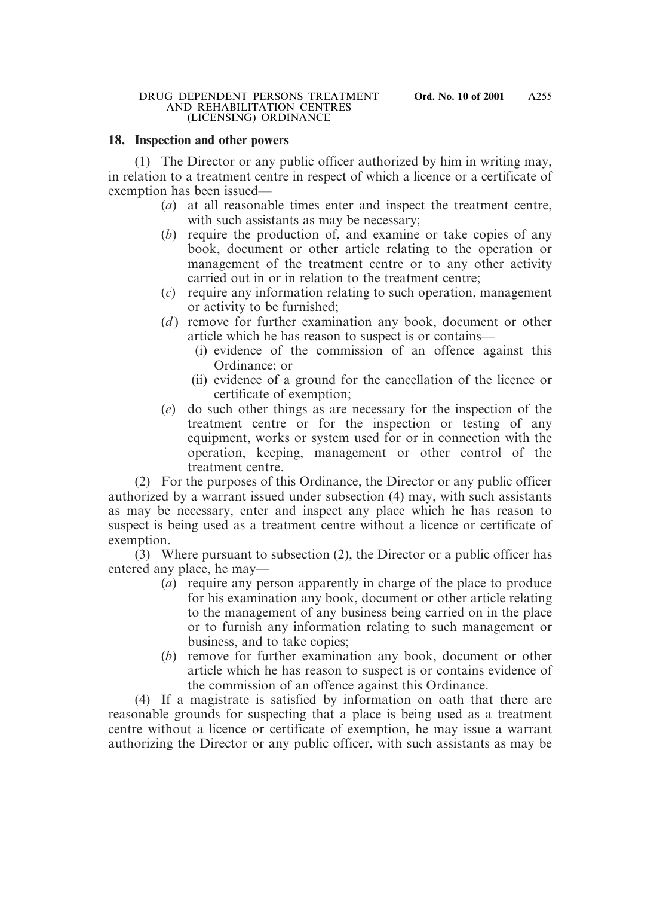### **18. Inspection and other powers**

(1) The Director or any public officer authorized by him in writing may, in relation to a treatment centre in respect of which a licence or a certificate of exemption has been issued—

- (*a*) at all reasonable times enter and inspect the treatment centre, with such assistants as may be necessary;
- (*b*) require the production of, and examine or take copies of any book, document or other article relating to the operation or management of the treatment centre or to any other activity carried out in or in relation to the treatment centre;
- (*c*) require any information relating to such operation, management or activity to be furnished;
- (*d*) remove for further examination any book, document or other article which he has reason to suspect is or contains—
	- (i) evidence of the commission of an offence against this Ordinance; or
	- (ii) evidence of a ground for the cancellation of the licence or certificate of exemption;
- (*e*) do such other things as are necessary for the inspection of the treatment centre or for the inspection or testing of any equipment, works or system used for or in connection with the operation, keeping, management or other control of the treatment centre.

(2) For the purposes of this Ordinance, the Director or any public officer authorized by a warrant issued under subsection (4) may, with such assistants as may be necessary, enter and inspect any place which he has reason to suspect is being used as a treatment centre without a licence or certificate of exemption.

(3) Where pursuant to subsection (2), the Director or a public officer has entered any place, he may—

- (*a*) require any person apparently in charge of the place to produce for his examination any book, document or other article relating to the management of any business being carried on in the place or to furnish any information relating to such management or business, and to take copies;
- (*b*) remove for further examination any book, document or other article which he has reason to suspect is or contains evidence of the commission of an offence against this Ordinance.

(4) If a magistrate is satisfied by information on oath that there are reasonable grounds for suspecting that a place is being used as a treatment centre without a licence or certificate of exemption, he may issue a warrant authorizing the Director or any public officer, with such assistants as may be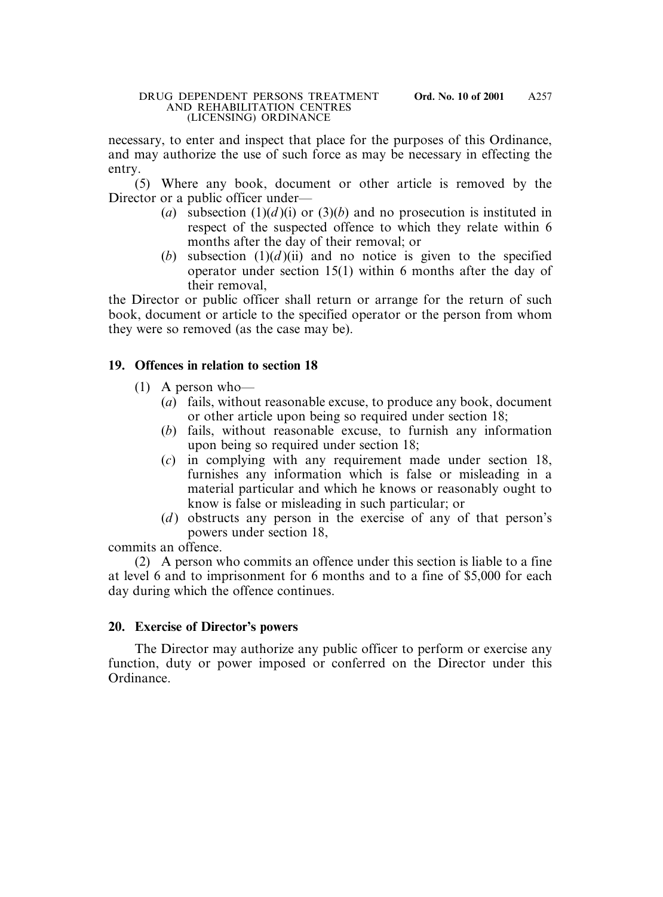necessary, to enter and inspect that place for the purposes of this Ordinance, and may authorize the use of such force as may be necessary in effecting the entry.

(5) Where any book, document or other article is removed by the Director or a public officer under—

- (*a*) subsection (1)(*d*)(*i*) or (3)(*b*) and no prosecution is instituted in respect of the suspected offence to which they relate within 6 months after the day of their removal; or
- (*b*) subsection  $(1)(d)(ii)$  and no notice is given to the specified operator under section 15(1) within 6 months after the day of their removal,

the Director or public officer shall return or arrange for the return of such book, document or article to the specified operator or the person from whom they were so removed (as the case may be).

# **19. Offences in relation to section 18**

- (1) A person who—
	- (*a*) fails, without reasonable excuse, to produce any book, document or other article upon being so required under section 18;
	- (*b*) fails, without reasonable excuse, to furnish any information upon being so required under section 18;
	- (*c*) in complying with any requirement made under section 18, furnishes any information which is false or misleading in a material particular and which he knows or reasonably ought to know is false or misleading in such particular; or
	- (*d*) obstructs any person in the exercise of any of that person's powers under section 18,

commits an offence.

(2) A person who commits an offence under this section is liable to a fine at level 6 and to imprisonment for 6 months and to a fine of \$5,000 for each day during which the offence continues.

# **20. Exercise of Director's powers**

The Director may authorize any public officer to perform or exercise any function, duty or power imposed or conferred on the Director under this Ordinance.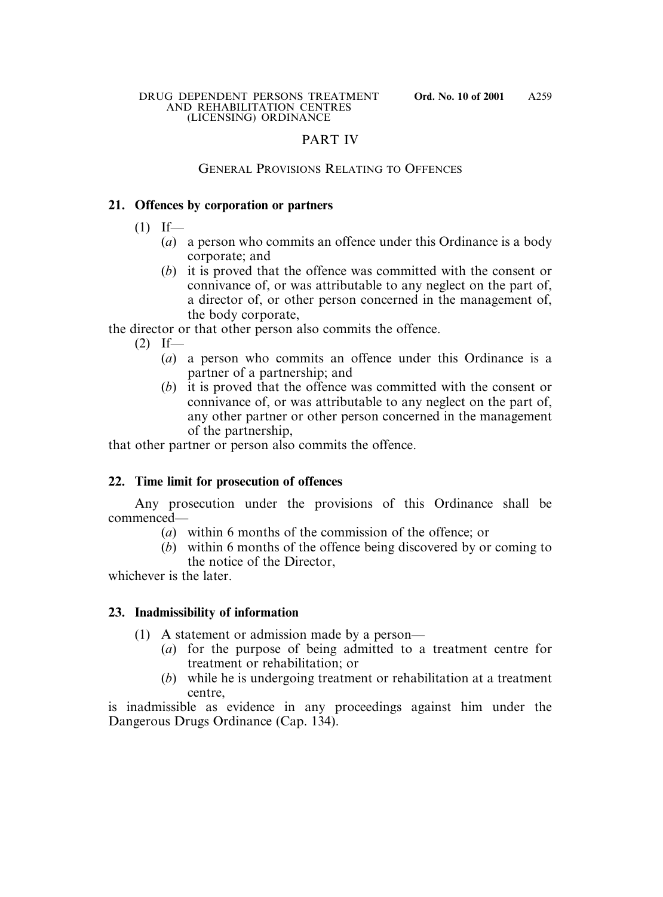# PART IV

### GENERAL PROVISIONS RELATING TO OFFENCES

### **21. Offences by corporation or partners**

- $(1)$  If—
	- (*a*) a person who commits an offence under this Ordinance is a body corporate; and
	- (*b*) it is proved that the offence was committed with the consent or connivance of, or was attributable to any neglect on the part of, a director of, or other person concerned in the management of, the body corporate,

the director or that other person also commits the offence.

- $(2)$  If—
	- (*a*) a person who commits an offence under this Ordinance is a partner of a partnership; and
	- (*b*) it is proved that the offence was committed with the consent or connivance of, or was attributable to any neglect on the part of, any other partner or other person concerned in the management of the partnership,

that other partner or person also commits the offence.

### **22. Time limit for prosecution of offences**

Any prosecution under the provisions of this Ordinance shall be commenced—

- (*a*) within 6 months of the commission of the offence; or
- (*b*) within 6 months of the offence being discovered by or coming to the notice of the Director,

whichever is the later.

### **23. Inadmissibility of information**

- (1) A statement or admission made by a person—
	- (*a*) for the purpose of being admitted to a treatment centre for treatment or rehabilitation; or
	- (*b*) while he is undergoing treatment or rehabilitation at a treatment centre,

is inadmissible as evidence in any proceedings against him under the Dangerous Drugs Ordinance (Cap. 134).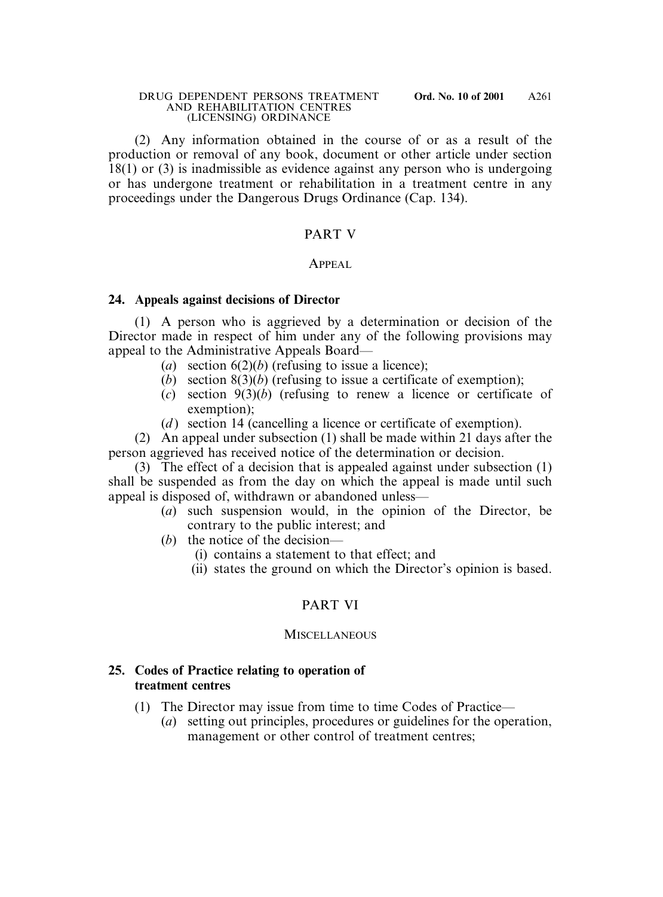(2) Any information obtained in the course of or as a result of the production or removal of any book, document or other article under section 18(1) or (3) is inadmissible as evidence against any person who is undergoing or has undergone treatment or rehabilitation in a treatment centre in any proceedings under the Dangerous Drugs Ordinance (Cap. 134).

### PART V

### APPEAL

### **24. Appeals against decisions of Director**

(1) A person who is aggrieved by a determination or decision of the Director made in respect of him under any of the following provisions may appeal to the Administrative Appeals Board—

- (*a*) section 6(2)(*b*) (refusing to issue a licence);
- (*b*) section 8(3)(*b*) (refusing to issue a certificate of exemption);
- (*c*) section 9(3)(*b*) (refusing to renew a licence or certificate of exemption);
- (*d*) section 14 (cancelling a licence or certificate of exemption).

(2) An appeal under subsection (1) shall be made within 21 days after the person aggrieved has received notice of the determination or decision.

(3) The effect of a decision that is appealed against under subsection (1) shall be suspended as from the day on which the appeal is made until such appeal is disposed of, withdrawn or abandoned unless—

- (*a*) such suspension would, in the opinion of the Director, be contrary to the public interest; and
- (*b*) the notice of the decision—
	- (i) contains a statement to that effect; and
	- (ii) states the ground on which the Director's opinion is based.

# PART VI

### **MISCELLANEOUS**

### **25. Codes of Practice relating to operation of treatment centres**

- (1) The Director may issue from time to time Codes of Practice—
	- (*a*) setting out principles, procedures or guidelines for the operation, management or other control of treatment centres;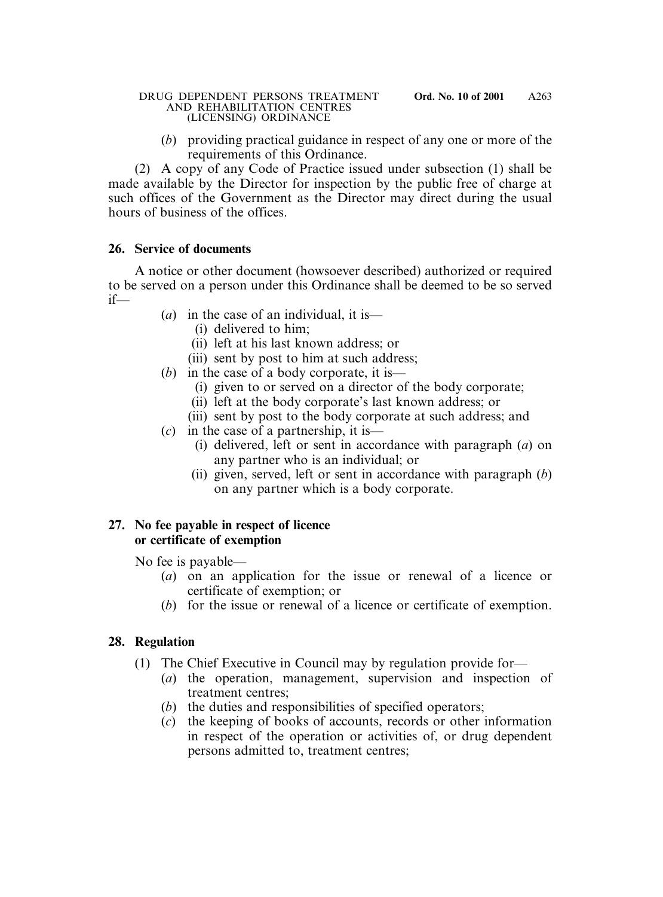(*b*) providing practical guidance in respect of any one or more of the requirements of this Ordinance.

(2) A copy of any Code of Practice issued under subsection (1) shall be made available by the Director for inspection by the public free of charge at such offices of the Government as the Director may direct during the usual hours of business of the offices.

# **26. Service of documents**

A notice or other document (howsoever described) authorized or required to be served on a person under this Ordinance shall be deemed to be so served if—

- (*a*) in the case of an individual, it is—
	- (i) delivered to him;
	- (ii) left at his last known address; or
	- (iii) sent by post to him at such address;
- (*b*) in the case of a body corporate, it is—
	- (i) given to or served on a director of the body corporate;
	- (ii) left at the body corporate's last known address; or
	- (iii) sent by post to the body corporate at such address; and
- (*c*) in the case of a partnership, it is—
	- (i) delivered, left or sent in accordance with paragraph (*a*) on any partner who is an individual; or
	- (ii) given, served, left or sent in accordance with paragraph (*b*) on any partner which is a body corporate.

# **27. No fee payable in respect of licence or certificate of exemption**

No fee is payable—

- (*a*) on an application for the issue or renewal of a licence or certificate of exemption; or
- (*b*) for the issue or renewal of a licence or certificate of exemption.

# **28. Regulation**

- (1) The Chief Executive in Council may by regulation provide for—
	- (*a*) the operation, management, supervision and inspection of treatment centres;
	- (*b*) the duties and responsibilities of specified operators;
	- (*c*) the keeping of books of accounts, records or other information in respect of the operation or activities of, or drug dependent persons admitted to, treatment centres;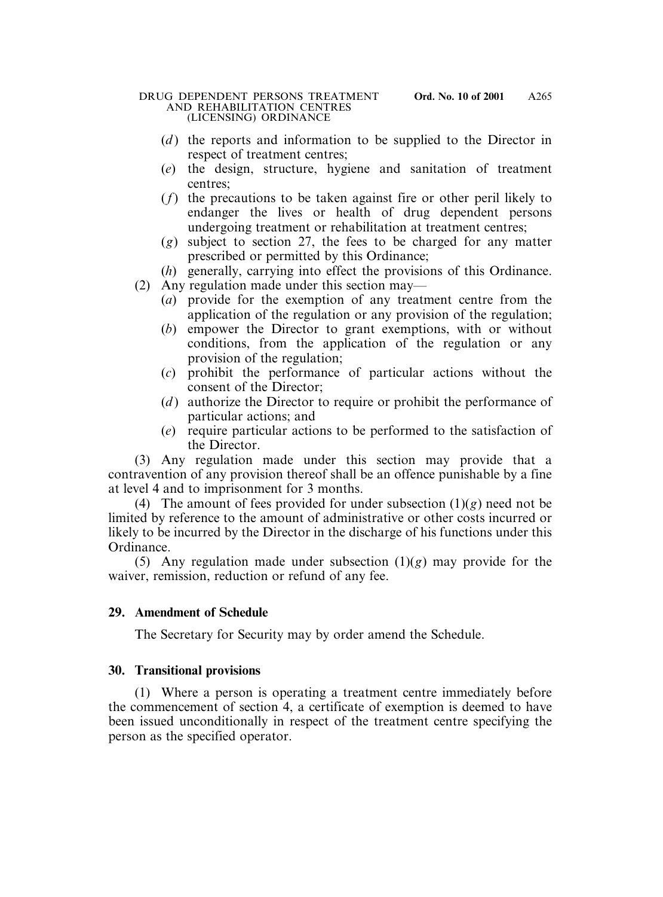- (*d*) the reports and information to be supplied to the Director in respect of treatment centres;
- (*e*) the design, structure, hygiene and sanitation of treatment centres;
- (*f*) the precautions to be taken against fire or other peril likely to endanger the lives or health of drug dependent persons undergoing treatment or rehabilitation at treatment centres;
- (*g*) subject to section 27, the fees to be charged for any matter prescribed or permitted by this Ordinance;
- (*h*) generally, carrying into effect the provisions of this Ordinance.
- (2) Any regulation made under this section may—
	- (*a*) provide for the exemption of any treatment centre from the application of the regulation or any provision of the regulation;
	- (*b*) empower the Director to grant exemptions, with or without conditions, from the application of the regulation or any provision of the regulation;
	- (*c*) prohibit the performance of particular actions without the consent of the Director;
	- (*d* ) authorize the Director to require or prohibit the performance of particular actions; and
	- (*e*) require particular actions to be performed to the satisfaction of the Director.

(3) Any regulation made under this section may provide that a contravention of any provision thereof shall be an offence punishable by a fine at level 4 and to imprisonment for 3 months.

(4) The amount of fees provided for under subsection  $(1)(g)$  need not be limited by reference to the amount of administrative or other costs incurred or likely to be incurred by the Director in the discharge of his functions under this Ordinance.

(5) Any regulation made under subsection (1)(*g*) may provide for the waiver, remission, reduction or refund of any fee.

# **29. Amendment of Schedule**

The Secretary for Security may by order amend the Schedule.

# **30. Transitional provisions**

(1) Where a person is operating a treatment centre immediately before the commencement of section 4, a certificate of exemption is deemed to have been issued unconditionally in respect of the treatment centre specifying the person as the specified operator.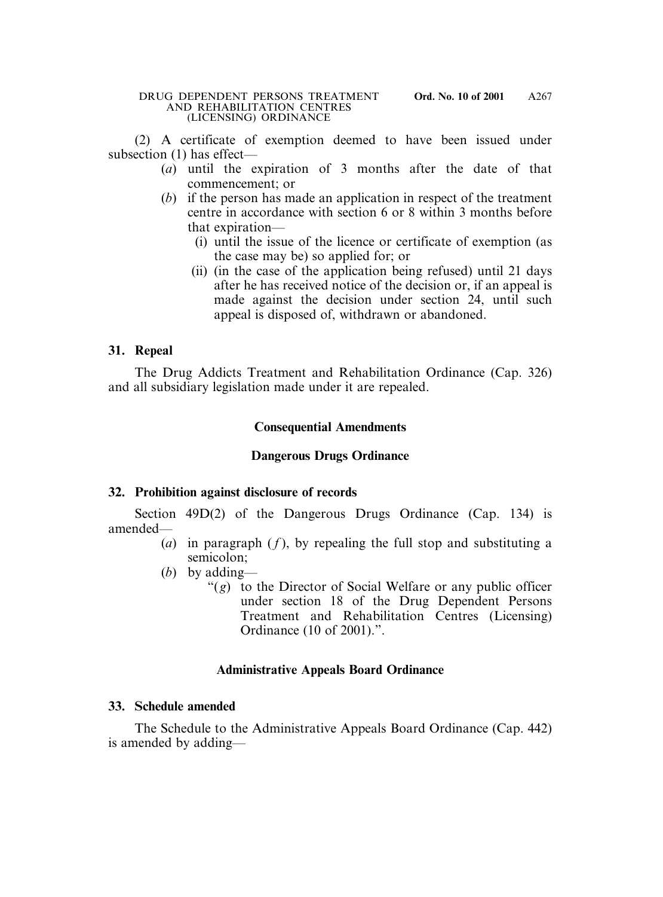(2) A certificate of exemption deemed to have been issued under subsection (1) has effect—

- (*a*) until the expiration of 3 months after the date of that commencement; or
- (*b*) if the person has made an application in respect of the treatment centre in accordance with section 6 or 8 within 3 months before that expiration—
	- (i) until the issue of the licence or certificate of exemption (as the case may be) so applied for; or
	- (ii) (in the case of the application being refused) until 21 days after he has received notice of the decision or, if an appeal is made against the decision under section 24, until such appeal is disposed of, withdrawn or abandoned.

# **31. Repeal**

The Drug Addicts Treatment and Rehabilitation Ordinance (Cap. 326) and all subsidiary legislation made under it are repealed.

# **Consequential Amendments**

# **Dangerous Drugs Ordinance**

### **32. Prohibition against disclosure of records**

Section 49D(2) of the Dangerous Drugs Ordinance (Cap. 134) is amended—

- (*a*) in paragraph  $(f)$ , by repealing the full stop and substituting a semicolon;
- (*b*) by adding—
	- "(*g*) to the Director of Social Welfare or any public officer under section 18 of the Drug Dependent Persons Treatment and Rehabilitation Centres (Licensing) Ordinance (10 of 2001).".

# **Administrative Appeals Board Ordinance**

### **33. Schedule amended**

The Schedule to the Administrative Appeals Board Ordinance (Cap. 442) is amended by adding—